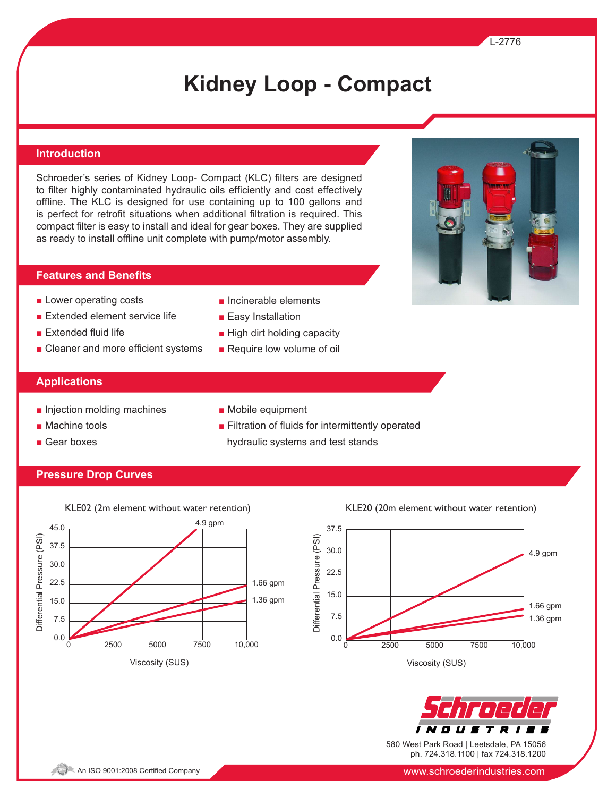# **Kidney Loop - Compact**

#### **Introduction**

Schroeder's series of Kidney Loop- Compact (KLC) filters are designed to filter highly contaminated hydraulic oils efficiently and cost effectively offline. The KLC is designed for use containing up to 100 gallons and is perfect for retrofit situations when additional filtration is required. This compact filter is easy to install and ideal for gear boxes. They are supplied as ready to install offline unit complete with pump/motor assembly.

#### **Features and Benefits**

- Lower operating costs
- Extended element service life
- Extended fluid life
- Cleaner and more efficient systems
- Incinerable elements
- Easy Installation

■ Mobile equipment

- High dirt holding capacity
- Require low volume of oil

#### **Applications**

- Injection molding machines
- Machine tools
- Gear boxes

■ Filtration of fluids for intermittently operated hydraulic systems and test stands

### **Pressure Drop Curves**



#### KLE02 (2m element without water retention) KLE20 (20m element without water retention)





580 West Park Road | Leetsdale, PA 15056 ph. 724.318.1100 | fax 724.318.1200